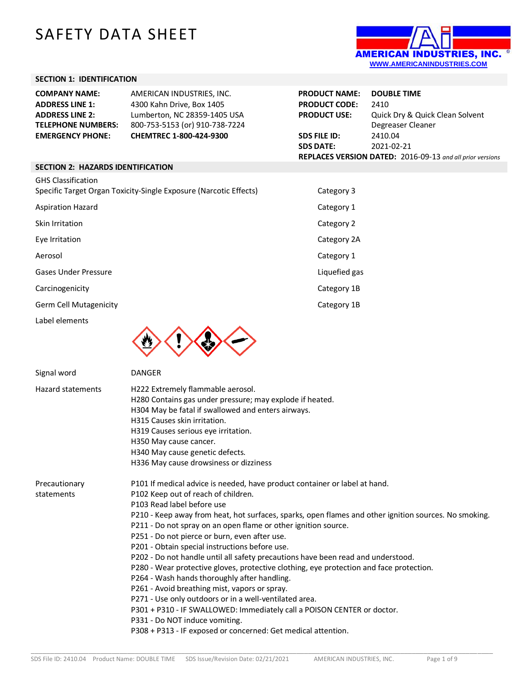# SAFETY DATA SHEET



### **SECTION 1: IDENTIFICATION**

| <b>COMPANY NAME:</b>      | AMERICAN INDUSTRIES, INC.      | <b>PRODUCT NAME:</b> | <b>DOUBLE TIME</b>                                        |
|---------------------------|--------------------------------|----------------------|-----------------------------------------------------------|
| <b>ADDRESS LINE 1:</b>    | 4300 Kahn Drive, Box 1405      | <b>PRODUCT CODE:</b> | 2410                                                      |
| <b>ADDRESS LINE 2:</b>    | Lumberton, NC 28359-1405 USA   | <b>PRODUCT USE:</b>  | Quick Dry & Quick Clean Solvent                           |
| <b>TELEPHONE NUMBERS:</b> | 800-753-5153 (or) 910-738-7224 |                      | Degreaser Cleaner                                         |
| <b>EMERGENCY PHONE:</b>   | <b>CHEMTREC 1-800-424-9300</b> | <b>SDS FILE ID:</b>  | 2410.04                                                   |
|                           |                                | <b>SDS DATE:</b>     | 2021-02-21                                                |
|                           |                                |                      | REPLACES VERSION DATED: 2016-09-13 and all prior versions |

#### **SECTION 2: HAZARDS IDENTIFICATION**

| <b>GHS Classification</b><br>Specific Target Organ Toxicity-Single Exposure (Narcotic Effects) | Category 3    |
|------------------------------------------------------------------------------------------------|---------------|
| <b>Aspiration Hazard</b>                                                                       | Category 1    |
| Skin Irritation                                                                                | Category 2    |
| Eye Irritation                                                                                 | Category 2A   |
| Aerosol                                                                                        | Category 1    |
| <b>Gases Under Pressure</b>                                                                    | Liquefied gas |
| Carcinogenicity                                                                                | Category 1B   |
| <b>Germ Cell Mutagenicity</b>                                                                  | Category 1B   |

Label elements



Signal word DANGER Hazard statements H222 Extremely flammable aerosol. H280 Contains gas under pressure; may explode if heated. H304 May be fatal if swallowed and enters airways. H315 Causes skin irritation. H319 Causes serious eye irritation. H350 May cause cancer. H340 May cause genetic defects. H336 May cause drowsiness or dizziness Precautionary statements P101 If medical advice is needed, have product container or label at hand. P102 Keep out of reach of children. P103 Read label before use P210 - Keep away from heat, hot surfaces, sparks, open flames and other ignition sources. No smoking. P211 - Do not spray on an open flame or other ignition source. P251 - Do not pierce or burn, even after use. P201 - Obtain special instructions before use. P202 - Do not handle until all safety precautions have been read and understood. P280 - Wear protective gloves, protective clothing, eye protection and face protection. P264 - Wash hands thoroughly after handling. P261 - Avoid breathing mist, vapors or spray. P271 - Use only outdoors or in a well-ventilated area. P301 + P310 - IF SWALLOWED: Immediately call a POISON CENTER or doctor. P331 - Do NOT induce vomiting. P308 + P313 - IF exposed or concerned: Get medical attention.

\_\_\_\_\_\_\_\_\_\_\_\_\_\_\_\_\_\_\_\_\_\_\_\_\_\_\_\_\_\_\_\_\_\_\_\_\_\_\_\_\_\_\_\_\_\_\_\_\_\_\_\_\_\_\_\_\_\_\_\_\_\_\_\_\_\_\_\_\_\_\_\_\_\_\_\_\_\_\_\_\_\_\_\_\_\_\_\_\_\_\_\_\_\_\_\_\_\_\_\_\_\_\_\_\_\_\_\_\_\_\_\_\_\_\_\_\_\_\_\_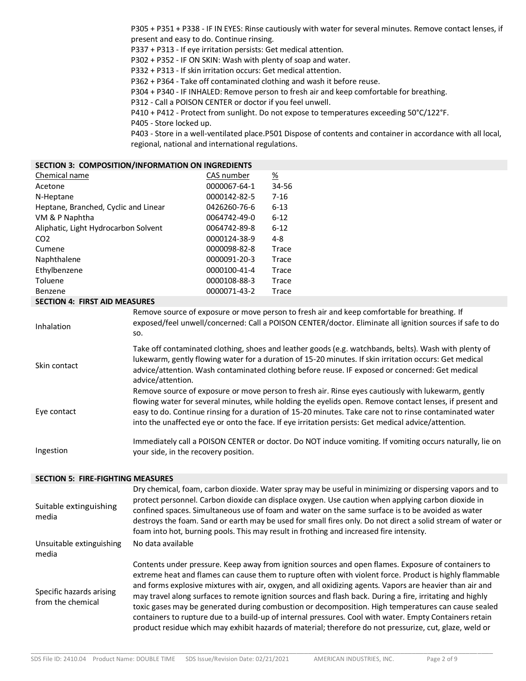P305 + P351 + P338 - IF IN EYES: Rinse cautiously with water for several minutes. Remove contact lenses, if present and easy to do. Continue rinsing.

P337 + P313 - If eye irritation persists: Get medical attention.

P302 + P352 - IF ON SKIN: Wash with plenty of soap and water.

P332 + P313 - If skin irritation occurs: Get medical attention.

P362 + P364 - Take off contaminated clothing and wash it before reuse.

P304 + P340 - IF INHALED: Remove person to fresh air and keep comfortable for breathing.

P312 - Call a POISON CENTER or doctor if you feel unwell.

P410 + P412 - Protect from sunlight. Do not expose to temperatures exceeding 50°C/122°F.

P405 - Store locked up.

P403 - Store in a well-ventilated place.P501 Dispose of contents and container in accordance with all local, regional, national and international regulations.

## **SECTION 3: COMPOSITION/INFORMATION ON INGREDIENTS**

| Chemical name                        | CAS number   | <u>%</u> |
|--------------------------------------|--------------|----------|
| Acetone                              | 0000067-64-1 | 34-56    |
| N-Heptane                            | 0000142-82-5 | $7 - 16$ |
| Heptane, Branched, Cyclic and Linear | 0426260-76-6 | $6 - 13$ |
| VM & P Naphtha                       | 0064742-49-0 | $6 - 12$ |
| Aliphatic, Light Hydrocarbon Solvent | 0064742-89-8 | $6 - 12$ |
| CO <sub>2</sub>                      | 0000124-38-9 | 4-8      |
| Cumene                               | 0000098-82-8 | Trace    |
| Naphthalene                          | 0000091-20-3 | Trace    |
| Ethylbenzene                         | 0000100-41-4 | Trace    |
| Toluene                              | 0000108-88-3 | Trace    |
| Benzene                              | 0000071-43-2 | Trace    |

### **SECTION 4: FIRST AID MEASURES**

| Inhalation   |
|--------------|
| Skin contact |

Remove source of exposure or move person to fresh air and keep comfortable for breathing. If exposed/feel unwell/concerned: Call a POISON CENTER/doctor. Eliminate all ignition sources if safe to do so.

Take off contaminated clothing, shoes and leather goods (e.g. watchbands, belts). Wash with plenty of lukewarm, gently flowing water for a duration of 15-20 minutes. If skin irritation occurs: Get medical advice/attention. Wash contaminated clothing before reuse. IF exposed or concerned: Get medical advice/attention. Remove source of exposure or move person to fresh air. Rinse eyes cautiously with lukewarm, gently

Eye contact flowing water for several minutes, while holding the eyelids open. Remove contact lenses, if present and easy to do. Continue rinsing for a duration of 15-20 minutes. Take care not to rinse contaminated water into the unaffected eye or onto the face. If eye irritation persists: Get medical advice/attention.

Ingestion Immediately call a POISON CENTER or doctor. Do NOT induce vomiting. If vomiting occurs naturally, lie on your side, in the recovery position.

### **SECTION 5: FIRE-FIGHTING MEASURES**

| Suitable extinguishing<br>media               | Dry chemical, foam, carbon dioxide. Water spray may be useful in minimizing or dispersing vapors and to<br>protect personnel. Carbon dioxide can displace oxygen. Use caution when applying carbon dioxide in<br>confined spaces. Simultaneous use of foam and water on the same surface is to be avoided as water<br>destroys the foam. Sand or earth may be used for small fires only. Do not direct a solid stream of water or<br>foam into hot, burning pools. This may result in frothing and increased fire intensity.                                                                                                                                                                                                                                         |
|-----------------------------------------------|----------------------------------------------------------------------------------------------------------------------------------------------------------------------------------------------------------------------------------------------------------------------------------------------------------------------------------------------------------------------------------------------------------------------------------------------------------------------------------------------------------------------------------------------------------------------------------------------------------------------------------------------------------------------------------------------------------------------------------------------------------------------|
| Unsuitable extinguishing<br>media             | No data available                                                                                                                                                                                                                                                                                                                                                                                                                                                                                                                                                                                                                                                                                                                                                    |
| Specific hazards arising<br>from the chemical | Contents under pressure. Keep away from ignition sources and open flames. Exposure of containers to<br>extreme heat and flames can cause them to rupture often with violent force. Product is highly flammable<br>and forms explosive mixtures with air, oxygen, and all oxidizing agents. Vapors are heavier than air and<br>may travel along surfaces to remote ignition sources and flash back. During a fire, irritating and highly<br>toxic gases may be generated during combustion or decomposition. High temperatures can cause sealed<br>containers to rupture due to a build-up of internal pressures. Cool with water. Empty Containers retain<br>product residue which may exhibit hazards of material; therefore do not pressurize, cut, glaze, weld or |

\_\_\_\_\_\_\_\_\_\_\_\_\_\_\_\_\_\_\_\_\_\_\_\_\_\_\_\_\_\_\_\_\_\_\_\_\_\_\_\_\_\_\_\_\_\_\_\_\_\_\_\_\_\_\_\_\_\_\_\_\_\_\_\_\_\_\_\_\_\_\_\_\_\_\_\_\_\_\_\_\_\_\_\_\_\_\_\_\_\_\_\_\_\_\_\_\_\_\_\_\_\_\_\_\_\_\_\_\_\_\_\_\_\_\_\_\_\_\_\_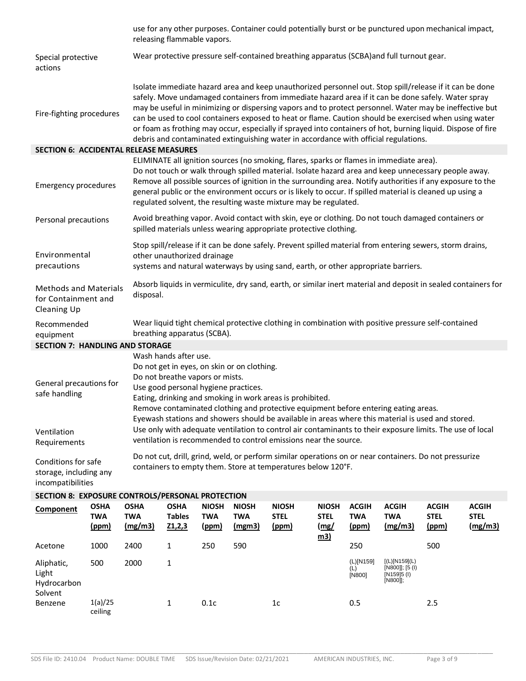|                                                                    |                                    |                                      | use for any other purposes. Container could potentially burst or be punctured upon mechanical impact,<br>releasing flammable vapors.                                                                                                                                                                                                                                                                                                                                                                                                                                                                                                      |                                            |                                      |                                                                                                                                                                                                 |                                                   |                                            |                                                               |                                             |                                        |
|--------------------------------------------------------------------|------------------------------------|--------------------------------------|-------------------------------------------------------------------------------------------------------------------------------------------------------------------------------------------------------------------------------------------------------------------------------------------------------------------------------------------------------------------------------------------------------------------------------------------------------------------------------------------------------------------------------------------------------------------------------------------------------------------------------------------|--------------------------------------------|--------------------------------------|-------------------------------------------------------------------------------------------------------------------------------------------------------------------------------------------------|---------------------------------------------------|--------------------------------------------|---------------------------------------------------------------|---------------------------------------------|----------------------------------------|
| Special protective<br>actions                                      |                                    |                                      | Wear protective pressure self-contained breathing apparatus (SCBA) and full turnout gear.                                                                                                                                                                                                                                                                                                                                                                                                                                                                                                                                                 |                                            |                                      |                                                                                                                                                                                                 |                                                   |                                            |                                                               |                                             |                                        |
| Fire-fighting procedures                                           |                                    |                                      | Isolate immediate hazard area and keep unauthorized personnel out. Stop spill/release if it can be done<br>safely. Move undamaged containers from immediate hazard area if it can be done safely. Water spray<br>may be useful in minimizing or dispersing vapors and to protect personnel. Water may be ineffective but<br>can be used to cool containers exposed to heat or flame. Caution should be exercised when using water<br>or foam as frothing may occur, especially if sprayed into containers of hot, burning liquid. Dispose of fire<br>debris and contaminated extinguishing water in accordance with official regulations. |                                            |                                      |                                                                                                                                                                                                 |                                                   |                                            |                                                               |                                             |                                        |
| <b>SECTION 6: ACCIDENTAL RELEASE MEASURES</b>                      |                                    |                                      |                                                                                                                                                                                                                                                                                                                                                                                                                                                                                                                                                                                                                                           |                                            |                                      |                                                                                                                                                                                                 |                                                   |                                            |                                                               |                                             |                                        |
| <b>Emergency procedures</b>                                        |                                    |                                      | ELIMINATE all ignition sources (no smoking, flares, sparks or flames in immediate area).<br>Do not touch or walk through spilled material. Isolate hazard area and keep unnecessary people away.<br>Remove all possible sources of ignition in the surrounding area. Notify authorities if any exposure to the<br>general public or the environment occurs or is likely to occur. If spilled material is cleaned up using a<br>regulated solvent, the resulting waste mixture may be regulated.                                                                                                                                           |                                            |                                      |                                                                                                                                                                                                 |                                                   |                                            |                                                               |                                             |                                        |
| Personal precautions                                               |                                    |                                      |                                                                                                                                                                                                                                                                                                                                                                                                                                                                                                                                                                                                                                           |                                            |                                      | Avoid breathing vapor. Avoid contact with skin, eye or clothing. Do not touch damaged containers or<br>spilled materials unless wearing appropriate protective clothing.                        |                                                   |                                            |                                                               |                                             |                                        |
| Environmental<br>precautions                                       |                                    |                                      | other unauthorized drainage                                                                                                                                                                                                                                                                                                                                                                                                                                                                                                                                                                                                               |                                            |                                      | Stop spill/release if it can be done safely. Prevent spilled material from entering sewers, storm drains,<br>systems and natural waterways by using sand, earth, or other appropriate barriers. |                                                   |                                            |                                                               |                                             |                                        |
| <b>Methods and Materials</b><br>for Containment and<br>Cleaning Up |                                    |                                      | Absorb liquids in vermiculite, dry sand, earth, or similar inert material and deposit in sealed containers for<br>disposal.                                                                                                                                                                                                                                                                                                                                                                                                                                                                                                               |                                            |                                      |                                                                                                                                                                                                 |                                                   |                                            |                                                               |                                             |                                        |
| Recommended<br>equipment                                           |                                    |                                      | Wear liquid tight chemical protective clothing in combination with positive pressure self-contained<br>breathing apparatus (SCBA).                                                                                                                                                                                                                                                                                                                                                                                                                                                                                                        |                                            |                                      |                                                                                                                                                                                                 |                                                   |                                            |                                                               |                                             |                                        |
| <b>SECTION 7: HANDLING AND STORAGE</b>                             |                                    |                                      |                                                                                                                                                                                                                                                                                                                                                                                                                                                                                                                                                                                                                                           |                                            |                                      |                                                                                                                                                                                                 |                                                   |                                            |                                                               |                                             |                                        |
| General precautions for<br>safe handling                           |                                    |                                      | Wash hands after use.<br>Do not get in eyes, on skin or on clothing.<br>Do not breathe vapors or mists.<br>Use good personal hygiene practices.<br>Eating, drinking and smoking in work areas is prohibited.<br>Remove contaminated clothing and protective equipment before entering eating areas.<br>Eyewash stations and showers should be available in areas where this material is used and stored.                                                                                                                                                                                                                                  |                                            |                                      |                                                                                                                                                                                                 |                                                   |                                            |                                                               |                                             |                                        |
| Ventilation<br>Requirements                                        |                                    |                                      | Use only with adequate ventilation to control air contaminants to their exposure limits. The use of local<br>ventilation is recommended to control emissions near the source.                                                                                                                                                                                                                                                                                                                                                                                                                                                             |                                            |                                      |                                                                                                                                                                                                 |                                                   |                                            |                                                               |                                             |                                        |
| Conditions for safe<br>storage, including any<br>incompatibilities |                                    |                                      | Do not cut, drill, grind, weld, or perform similar operations on or near containers. Do not pressurize<br>containers to empty them. Store at temperatures below 120°F.                                                                                                                                                                                                                                                                                                                                                                                                                                                                    |                                            |                                      |                                                                                                                                                                                                 |                                                   |                                            |                                                               |                                             |                                        |
| SECTION 8: EXPOSURE CONTROLS/PERSONAL PROTECTION                   |                                    |                                      |                                                                                                                                                                                                                                                                                                                                                                                                                                                                                                                                                                                                                                           |                                            |                                      |                                                                                                                                                                                                 |                                                   |                                            |                                                               |                                             |                                        |
| Component                                                          | <b>OSHA</b><br><b>TWA</b><br>(ppm) | <b>OSHA</b><br><b>TWA</b><br>(mg/m3) | <b>OSHA</b><br><b>Tables</b><br>Z1,2,3                                                                                                                                                                                                                                                                                                                                                                                                                                                                                                                                                                                                    | <b>NIOSH</b><br><b>TWA</b><br><u>(ppm)</u> | <b>NIOSH</b><br><b>TWA</b><br>(mgm3) | <b>NIOSH</b><br><b>STEL</b><br>(ppm)                                                                                                                                                            | <b>NIOSH</b><br><b>STEL</b><br>(mg/<br><u>m3)</u> | <b>ACGIH</b><br><b>TWA</b><br><u>(ppm)</u> | <b>ACGIH</b><br><b>TWA</b><br>(mg/m3)                         | <b>ACGIH</b><br><b>STEL</b><br><u>(ppm)</u> | <b>ACGIH</b><br><b>STEL</b><br>(mg/m3) |
| Acetone                                                            | 1000                               | 2400                                 | 1                                                                                                                                                                                                                                                                                                                                                                                                                                                                                                                                                                                                                                         | 250                                        | 590                                  |                                                                                                                                                                                                 |                                                   | 250                                        |                                                               | 500                                         |                                        |
| Aliphatic,<br>Light<br>Hydrocarbon<br>Solvent                      | 500                                | 2000                                 | 1                                                                                                                                                                                                                                                                                                                                                                                                                                                                                                                                                                                                                                         |                                            |                                      |                                                                                                                                                                                                 |                                                   | (L)[N159]<br>(L)<br>[N800]                 | [(L)[N159](L)<br>[N800]]; [5 (I)<br>$[N159]5$ (I)<br>[N800]]; |                                             |                                        |

1 0.1c 1c 0.5 2.5

Benzene 1(a)/25

ceiling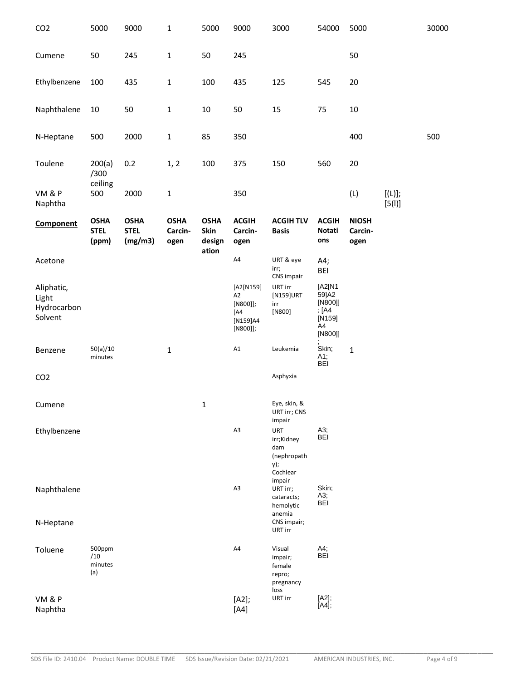| CO <sub>2</sub>                               | 5000                                | 9000                                  | 1                              | 5000                                   | 9000                                                       | 3000                                                              | 54000                                                            | 5000                            |                     | 30000 |
|-----------------------------------------------|-------------------------------------|---------------------------------------|--------------------------------|----------------------------------------|------------------------------------------------------------|-------------------------------------------------------------------|------------------------------------------------------------------|---------------------------------|---------------------|-------|
| Cumene                                        | 50                                  | 245                                   | $\mathbf 1$                    | 50                                     | 245                                                        |                                                                   |                                                                  | 50                              |                     |       |
| Ethylbenzene                                  | 100                                 | 435                                   | 1                              | 100                                    | 435                                                        | 125                                                               | 545                                                              | 20                              |                     |       |
| Naphthalene                                   | 10                                  | 50                                    | $\mathbf 1$                    | $10\,$                                 | 50                                                         | 15                                                                | 75                                                               | $10\,$                          |                     |       |
| N-Heptane                                     | 500                                 | 2000                                  | $\mathbf 1$                    | 85                                     | 350                                                        |                                                                   |                                                                  | 400                             |                     | 500   |
| Toulene                                       | 200(a)<br>/300                      | 0.2                                   | 1, 2                           | 100                                    | 375                                                        | 150                                                               | 560                                                              | 20                              |                     |       |
| VM&P<br>Naphtha                               | ceiling<br>500                      | 2000                                  | $\mathbf 1$                    |                                        | 350                                                        |                                                                   |                                                                  | (L)                             | $[(L)]$ ;<br>[5(1)] |       |
| <b>Component</b>                              | <b>OSHA</b><br><b>STEL</b><br>(ppm) | <b>OSHA</b><br><b>STEL</b><br>(mg/m3) | <b>OSHA</b><br>Carcin-<br>ogen | <b>OSHA</b><br>Skin<br>design<br>ation | <b>ACGIH</b><br>Carcin-<br>ogen                            | <b>ACGIH TLV</b><br><b>Basis</b>                                  | <b>ACGIH</b><br>Notati<br>ons                                    | <b>NIOSH</b><br>Carcin-<br>ogen |                     |       |
| Acetone                                       |                                     |                                       |                                |                                        | A4                                                         | URT & eye<br>irr;                                                 | A4;<br><b>BEI</b>                                                |                                 |                     |       |
| Aliphatic,<br>Light<br>Hydrocarbon<br>Solvent |                                     |                                       |                                |                                        | [A2[N159]<br>A2<br>[N800]];<br>[A4<br>[N159]A4<br>[NS00]]; | CNS impair<br>URT irr<br>[N159]URT<br>irr<br>[N800]               | [A2[N1<br>59]A2<br>[N800]]<br>; [A4<br>$[N159]$<br>A4<br>[N800]] |                                 |                     |       |
| Benzene                                       | 50(a)/10<br>minutes                 |                                       | $\mathbf 1$                    |                                        | A1                                                         | Leukemia                                                          | Skin;<br>A1;<br><b>BEI</b>                                       | $\mathbf{1}$                    |                     |       |
| CO <sub>2</sub>                               |                                     |                                       |                                |                                        |                                                            | Asphyxia                                                          |                                                                  |                                 |                     |       |
| Cumene                                        |                                     |                                       |                                | $\mathbf{1}$                           |                                                            | Eye, skin, &<br>URT irr; CNS<br>impair                            |                                                                  |                                 |                     |       |
| Ethylbenzene                                  |                                     |                                       |                                |                                        | A3                                                         | <b>URT</b><br>irr;Kidney<br>dam<br>(nephropath<br>y);<br>Cochlear | A3;<br><b>BEI</b>                                                |                                 |                     |       |
| Naphthalene                                   |                                     |                                       |                                |                                        | A3                                                         | impair<br>URT irr;<br>cataracts;<br>hemolytic                     | Skin;<br>A3;<br>BEI                                              |                                 |                     |       |
| N-Heptane                                     |                                     |                                       |                                |                                        |                                                            | anemia<br>CNS impair;<br>URT irr                                  |                                                                  |                                 |                     |       |
| Toluene                                       | 500ppm<br>/10<br>minutes<br>(a)     |                                       |                                |                                        | A4                                                         | Visual<br>impair;<br>female<br>repro;<br>pregnancy<br>loss        | A4;<br><b>BEI</b>                                                |                                 |                     |       |
| VM&P<br>Naphtha                               |                                     |                                       |                                |                                        | [A2];<br>$[AA]$                                            | URT irr                                                           | [A2];<br>[A4];                                                   |                                 |                     |       |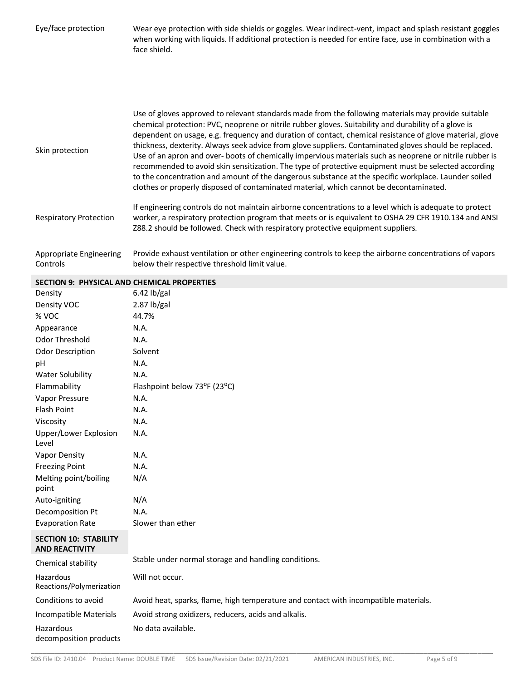| Eye/face protection                                   | Wear eye protection with side shields or goggles. Wear indirect-vent, impact and splash resistant goggles<br>when working with liquids. If additional protection is needed for entire face, use in combination with a<br>face shield.                                                                                                                                                                                                                                                                                                                                                                                                                                                                                                                                                                                                                    |
|-------------------------------------------------------|----------------------------------------------------------------------------------------------------------------------------------------------------------------------------------------------------------------------------------------------------------------------------------------------------------------------------------------------------------------------------------------------------------------------------------------------------------------------------------------------------------------------------------------------------------------------------------------------------------------------------------------------------------------------------------------------------------------------------------------------------------------------------------------------------------------------------------------------------------|
| Skin protection                                       | Use of gloves approved to relevant standards made from the following materials may provide suitable<br>chemical protection: PVC, neoprene or nitrile rubber gloves. Suitability and durability of a glove is<br>dependent on usage, e.g. frequency and duration of contact, chemical resistance of glove material, glove<br>thickness, dexterity. Always seek advice from glove suppliers. Contaminated gloves should be replaced.<br>Use of an apron and over- boots of chemically impervious materials such as neoprene or nitrile rubber is<br>recommended to avoid skin sensitization. The type of protective equipment must be selected according<br>to the concentration and amount of the dangerous substance at the specific workplace. Launder soiled<br>clothes or properly disposed of contaminated material, which cannot be decontaminated. |
| <b>Respiratory Protection</b>                         | If engineering controls do not maintain airborne concentrations to a level which is adequate to protect<br>worker, a respiratory protection program that meets or is equivalent to OSHA 29 CFR 1910.134 and ANSI<br>Z88.2 should be followed. Check with respiratory protective equipment suppliers.                                                                                                                                                                                                                                                                                                                                                                                                                                                                                                                                                     |
| Appropriate Engineering<br>Controls                   | Provide exhaust ventilation or other engineering controls to keep the airborne concentrations of vapors<br>below their respective threshold limit value.                                                                                                                                                                                                                                                                                                                                                                                                                                                                                                                                                                                                                                                                                                 |
| SECTION 9: PHYSICAL AND CHEMICAL PROPERTIES           |                                                                                                                                                                                                                                                                                                                                                                                                                                                                                                                                                                                                                                                                                                                                                                                                                                                          |
| Density                                               | $6.42$ lb/gal                                                                                                                                                                                                                                                                                                                                                                                                                                                                                                                                                                                                                                                                                                                                                                                                                                            |
| Density VOC                                           | $2.87$ lb/gal                                                                                                                                                                                                                                                                                                                                                                                                                                                                                                                                                                                                                                                                                                                                                                                                                                            |
| % VOC                                                 | 44.7%                                                                                                                                                                                                                                                                                                                                                                                                                                                                                                                                                                                                                                                                                                                                                                                                                                                    |
| Appearance                                            | N.A.                                                                                                                                                                                                                                                                                                                                                                                                                                                                                                                                                                                                                                                                                                                                                                                                                                                     |
| Odor Threshold                                        | N.A.                                                                                                                                                                                                                                                                                                                                                                                                                                                                                                                                                                                                                                                                                                                                                                                                                                                     |
| Odor Description                                      | Solvent                                                                                                                                                                                                                                                                                                                                                                                                                                                                                                                                                                                                                                                                                                                                                                                                                                                  |
| pH                                                    | N.A.                                                                                                                                                                                                                                                                                                                                                                                                                                                                                                                                                                                                                                                                                                                                                                                                                                                     |
| Water Solubility                                      | N.A.                                                                                                                                                                                                                                                                                                                                                                                                                                                                                                                                                                                                                                                                                                                                                                                                                                                     |
| Flammability                                          | Flashpoint below 73°F (23°C)                                                                                                                                                                                                                                                                                                                                                                                                                                                                                                                                                                                                                                                                                                                                                                                                                             |
| Vapor Pressure                                        | N.A.                                                                                                                                                                                                                                                                                                                                                                                                                                                                                                                                                                                                                                                                                                                                                                                                                                                     |
| Flash Point                                           | N.A.                                                                                                                                                                                                                                                                                                                                                                                                                                                                                                                                                                                                                                                                                                                                                                                                                                                     |
| Viscosity                                             | N.A.                                                                                                                                                                                                                                                                                                                                                                                                                                                                                                                                                                                                                                                                                                                                                                                                                                                     |
| Upper/Lower Explosion<br>Level                        | N.A.                                                                                                                                                                                                                                                                                                                                                                                                                                                                                                                                                                                                                                                                                                                                                                                                                                                     |
| Vapor Density                                         | N.A.                                                                                                                                                                                                                                                                                                                                                                                                                                                                                                                                                                                                                                                                                                                                                                                                                                                     |
| <b>Freezing Point</b>                                 | N.A.                                                                                                                                                                                                                                                                                                                                                                                                                                                                                                                                                                                                                                                                                                                                                                                                                                                     |
| Melting point/boiling<br>point                        | N/A                                                                                                                                                                                                                                                                                                                                                                                                                                                                                                                                                                                                                                                                                                                                                                                                                                                      |
| Auto-igniting                                         | N/A                                                                                                                                                                                                                                                                                                                                                                                                                                                                                                                                                                                                                                                                                                                                                                                                                                                      |
| Decomposition Pt                                      | N.A.                                                                                                                                                                                                                                                                                                                                                                                                                                                                                                                                                                                                                                                                                                                                                                                                                                                     |
| <b>Evaporation Rate</b>                               | Slower than ether                                                                                                                                                                                                                                                                                                                                                                                                                                                                                                                                                                                                                                                                                                                                                                                                                                        |
| <b>SECTION 10: STABILITY</b><br><b>AND REACTIVITY</b> |                                                                                                                                                                                                                                                                                                                                                                                                                                                                                                                                                                                                                                                                                                                                                                                                                                                          |
| Chemical stability                                    | Stable under normal storage and handling conditions.                                                                                                                                                                                                                                                                                                                                                                                                                                                                                                                                                                                                                                                                                                                                                                                                     |
| Hazardous<br>Reactions/Polymerization                 | Will not occur.                                                                                                                                                                                                                                                                                                                                                                                                                                                                                                                                                                                                                                                                                                                                                                                                                                          |
| Conditions to avoid                                   | Avoid heat, sparks, flame, high temperature and contact with incompatible materials.                                                                                                                                                                                                                                                                                                                                                                                                                                                                                                                                                                                                                                                                                                                                                                     |
|                                                       |                                                                                                                                                                                                                                                                                                                                                                                                                                                                                                                                                                                                                                                                                                                                                                                                                                                          |
| Incompatible Materials                                | Avoid strong oxidizers, reducers, acids and alkalis.                                                                                                                                                                                                                                                                                                                                                                                                                                                                                                                                                                                                                                                                                                                                                                                                     |
| Hazardous                                             | No data available.                                                                                                                                                                                                                                                                                                                                                                                                                                                                                                                                                                                                                                                                                                                                                                                                                                       |

\_\_\_\_\_\_\_\_\_\_\_\_\_\_\_\_\_\_\_\_\_\_\_\_\_\_\_\_\_\_\_\_\_\_\_\_\_\_\_\_\_\_\_\_\_\_\_\_\_\_\_\_\_\_\_\_\_\_\_\_\_\_\_\_\_\_\_\_\_\_\_\_\_\_\_\_\_\_\_\_\_\_\_\_\_\_\_\_\_\_\_\_\_\_\_\_\_\_\_\_\_\_\_\_\_\_\_\_\_\_\_\_\_\_\_\_\_\_\_\_

decomposition products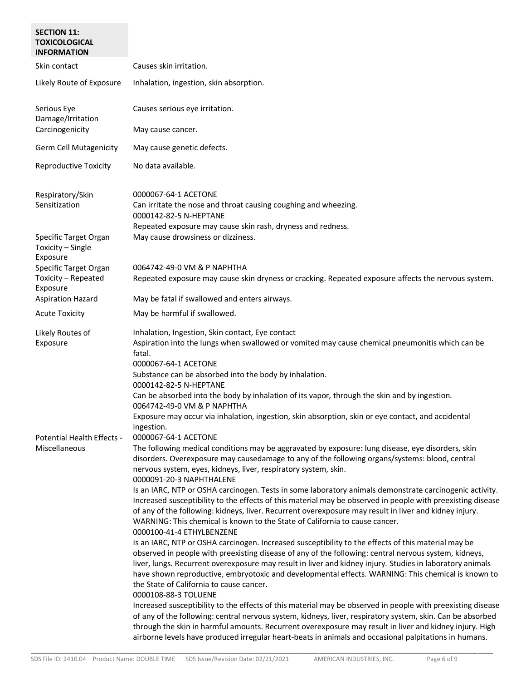| <b>SECTION 11:</b><br><b>TOXICOLOGICAL</b><br><b>INFORMATION</b> |                                                                                                                                                                                                                                                                                                                                                                                                                                                                                                                                                                                                                                                                                                                                                                                                                                                                                                                                                                                                                                                                                                                                                                                                                                                                                                                                                                                                                                                                                                                                                                                                                                                                                                                                                                                                                                                        |
|------------------------------------------------------------------|--------------------------------------------------------------------------------------------------------------------------------------------------------------------------------------------------------------------------------------------------------------------------------------------------------------------------------------------------------------------------------------------------------------------------------------------------------------------------------------------------------------------------------------------------------------------------------------------------------------------------------------------------------------------------------------------------------------------------------------------------------------------------------------------------------------------------------------------------------------------------------------------------------------------------------------------------------------------------------------------------------------------------------------------------------------------------------------------------------------------------------------------------------------------------------------------------------------------------------------------------------------------------------------------------------------------------------------------------------------------------------------------------------------------------------------------------------------------------------------------------------------------------------------------------------------------------------------------------------------------------------------------------------------------------------------------------------------------------------------------------------------------------------------------------------------------------------------------------------|
| Skin contact                                                     | Causes skin irritation.                                                                                                                                                                                                                                                                                                                                                                                                                                                                                                                                                                                                                                                                                                                                                                                                                                                                                                                                                                                                                                                                                                                                                                                                                                                                                                                                                                                                                                                                                                                                                                                                                                                                                                                                                                                                                                |
| Likely Route of Exposure                                         | Inhalation, ingestion, skin absorption.                                                                                                                                                                                                                                                                                                                                                                                                                                                                                                                                                                                                                                                                                                                                                                                                                                                                                                                                                                                                                                                                                                                                                                                                                                                                                                                                                                                                                                                                                                                                                                                                                                                                                                                                                                                                                |
| Serious Eye<br>Damage/Irritation<br>Carcinogenicity              | Causes serious eye irritation.<br>May cause cancer.                                                                                                                                                                                                                                                                                                                                                                                                                                                                                                                                                                                                                                                                                                                                                                                                                                                                                                                                                                                                                                                                                                                                                                                                                                                                                                                                                                                                                                                                                                                                                                                                                                                                                                                                                                                                    |
| <b>Germ Cell Mutagenicity</b>                                    | May cause genetic defects.                                                                                                                                                                                                                                                                                                                                                                                                                                                                                                                                                                                                                                                                                                                                                                                                                                                                                                                                                                                                                                                                                                                                                                                                                                                                                                                                                                                                                                                                                                                                                                                                                                                                                                                                                                                                                             |
| <b>Reproductive Toxicity</b>                                     | No data available.                                                                                                                                                                                                                                                                                                                                                                                                                                                                                                                                                                                                                                                                                                                                                                                                                                                                                                                                                                                                                                                                                                                                                                                                                                                                                                                                                                                                                                                                                                                                                                                                                                                                                                                                                                                                                                     |
| Respiratory/Skin<br>Sensitization                                | 0000067-64-1 ACETONE<br>Can irritate the nose and throat causing coughing and wheezing.<br>0000142-82-5 N-HEPTANE<br>Repeated exposure may cause skin rash, dryness and redness.                                                                                                                                                                                                                                                                                                                                                                                                                                                                                                                                                                                                                                                                                                                                                                                                                                                                                                                                                                                                                                                                                                                                                                                                                                                                                                                                                                                                                                                                                                                                                                                                                                                                       |
| Specific Target Organ<br>Toxicity - Single<br>Exposure           | May cause drowsiness or dizziness.                                                                                                                                                                                                                                                                                                                                                                                                                                                                                                                                                                                                                                                                                                                                                                                                                                                                                                                                                                                                                                                                                                                                                                                                                                                                                                                                                                                                                                                                                                                                                                                                                                                                                                                                                                                                                     |
| Specific Target Organ<br>Toxicity - Repeated<br>Exposure         | 0064742-49-0 VM & P NAPHTHA<br>Repeated exposure may cause skin dryness or cracking. Repeated exposure affects the nervous system.                                                                                                                                                                                                                                                                                                                                                                                                                                                                                                                                                                                                                                                                                                                                                                                                                                                                                                                                                                                                                                                                                                                                                                                                                                                                                                                                                                                                                                                                                                                                                                                                                                                                                                                     |
| <b>Aspiration Hazard</b>                                         | May be fatal if swallowed and enters airways.                                                                                                                                                                                                                                                                                                                                                                                                                                                                                                                                                                                                                                                                                                                                                                                                                                                                                                                                                                                                                                                                                                                                                                                                                                                                                                                                                                                                                                                                                                                                                                                                                                                                                                                                                                                                          |
| <b>Acute Toxicity</b>                                            | May be harmful if swallowed.                                                                                                                                                                                                                                                                                                                                                                                                                                                                                                                                                                                                                                                                                                                                                                                                                                                                                                                                                                                                                                                                                                                                                                                                                                                                                                                                                                                                                                                                                                                                                                                                                                                                                                                                                                                                                           |
| Likely Routes of<br>Exposure                                     | Inhalation, Ingestion, Skin contact, Eye contact<br>Aspiration into the lungs when swallowed or vomited may cause chemical pneumonitis which can be<br>fatal.<br>0000067-64-1 ACETONE<br>Substance can be absorbed into the body by inhalation.<br>0000142-82-5 N-HEPTANE<br>Can be absorbed into the body by inhalation of its vapor, through the skin and by ingestion.<br>0064742-49-0 VM & P NAPHTHA                                                                                                                                                                                                                                                                                                                                                                                                                                                                                                                                                                                                                                                                                                                                                                                                                                                                                                                                                                                                                                                                                                                                                                                                                                                                                                                                                                                                                                               |
| Potential Health Effects -<br>Miscellaneous                      | Exposure may occur via inhalation, ingestion, skin absorption, skin or eye contact, and accidental<br>ingestion.<br>0000067-64-1 ACETONE<br>The following medical conditions may be aggravated by exposure: lung disease, eye disorders, skin<br>disorders. Overexposure may causedamage to any of the following organs/systems: blood, central<br>nervous system, eyes, kidneys, liver, respiratory system, skin.<br>0000091-20-3 NAPHTHALENE<br>Is an IARC, NTP or OSHA carcinogen. Tests in some laboratory animals demonstrate carcinogenic activity.<br>Increased susceptibility to the effects of this material may be observed in people with preexisting disease<br>of any of the following: kidneys, liver. Recurrent overexposure may result in liver and kidney injury.<br>WARNING: This chemical is known to the State of California to cause cancer.<br>0000100-41-4 ETHYLBENZENE<br>Is an IARC, NTP or OSHA carcinogen. Increased susceptibility to the effects of this material may be<br>observed in people with preexisting disease of any of the following: central nervous system, kidneys,<br>liver, lungs. Recurrent overexposure may result in liver and kidney injury. Studies in laboratory animals<br>have shown reproductive, embryotoxic and developmental effects. WARNING: This chemical is known to<br>the State of California to cause cancer.<br>0000108-88-3 TOLUENE<br>Increased susceptibility to the effects of this material may be observed in people with preexisting disease<br>of any of the following: central nervous system, kidneys, liver, respiratory system, skin. Can be absorbed<br>through the skin in harmful amounts. Recurrent overexposure may result in liver and kidney injury. High<br>airborne levels have produced irregular heart-beats in animals and occasional palpitations in humans. |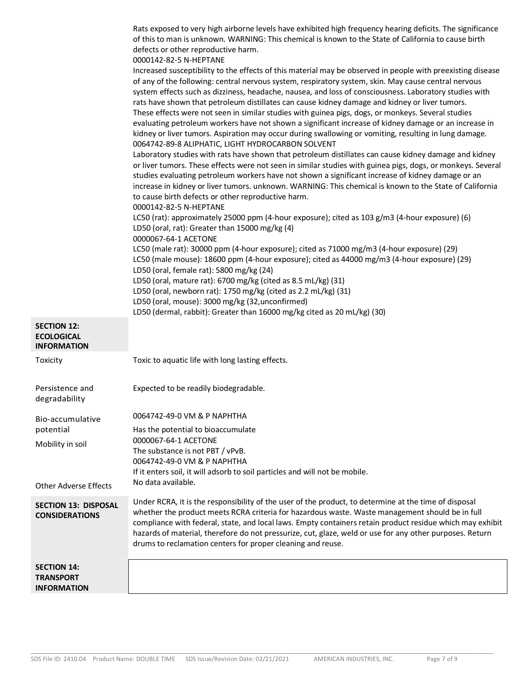|                                                               | Rats exposed to very high airborne levels have exhibited high frequency hearing deficits. The significance<br>of this to man is unknown. WARNING: This chemical is known to the State of California to cause birth<br>defects or other reproductive harm.<br>0000142-82-5 N-HEPTANE<br>Increased susceptibility to the effects of this material may be observed in people with preexisting disease<br>of any of the following: central nervous system, respiratory system, skin. May cause central nervous<br>system effects such as dizziness, headache, nausea, and loss of consciousness. Laboratory studies with<br>rats have shown that petroleum distillates can cause kidney damage and kidney or liver tumors.<br>These effects were not seen in similar studies with guinea pigs, dogs, or monkeys. Several studies<br>evaluating petroleum workers have not shown a significant increase of kidney damage or an increase in<br>kidney or liver tumors. Aspiration may occur during swallowing or vomiting, resulting in lung damage.<br>0064742-89-8 ALIPHATIC, LIGHT HYDROCARBON SOLVENT<br>Laboratory studies with rats have shown that petroleum distillates can cause kidney damage and kidney<br>or liver tumors. These effects were not seen in similar studies with guinea pigs, dogs, or monkeys. Several<br>studies evaluating petroleum workers have not shown a significant increase of kidney damage or an |
|---------------------------------------------------------------|----------------------------------------------------------------------------------------------------------------------------------------------------------------------------------------------------------------------------------------------------------------------------------------------------------------------------------------------------------------------------------------------------------------------------------------------------------------------------------------------------------------------------------------------------------------------------------------------------------------------------------------------------------------------------------------------------------------------------------------------------------------------------------------------------------------------------------------------------------------------------------------------------------------------------------------------------------------------------------------------------------------------------------------------------------------------------------------------------------------------------------------------------------------------------------------------------------------------------------------------------------------------------------------------------------------------------------------------------------------------------------------------------------------------------------|
|                                                               | increase in kidney or liver tumors. unknown. WARNING: This chemical is known to the State of California<br>to cause birth defects or other reproductive harm.                                                                                                                                                                                                                                                                                                                                                                                                                                                                                                                                                                                                                                                                                                                                                                                                                                                                                                                                                                                                                                                                                                                                                                                                                                                                    |
|                                                               | 0000142-82-5 N-HEPTANE<br>LC50 (rat): approximately 25000 ppm (4-hour exposure); cited as 103 g/m3 (4-hour exposure) (6)<br>LD50 (oral, rat): Greater than 15000 mg/kg (4)                                                                                                                                                                                                                                                                                                                                                                                                                                                                                                                                                                                                                                                                                                                                                                                                                                                                                                                                                                                                                                                                                                                                                                                                                                                       |
|                                                               | 0000067-64-1 ACETONE<br>LC50 (male rat): 30000 ppm (4-hour exposure); cited as 71000 mg/m3 (4-hour exposure) (29)<br>LC50 (male mouse): 18600 ppm (4-hour exposure); cited as 44000 mg/m3 (4-hour exposure) (29)<br>LD50 (oral, female rat): 5800 mg/kg (24)                                                                                                                                                                                                                                                                                                                                                                                                                                                                                                                                                                                                                                                                                                                                                                                                                                                                                                                                                                                                                                                                                                                                                                     |
|                                                               | LD50 (oral, mature rat): 6700 mg/kg (cited as 8.5 mL/kg) (31)<br>LD50 (oral, newborn rat): 1750 mg/kg (cited as 2.2 mL/kg) (31)                                                                                                                                                                                                                                                                                                                                                                                                                                                                                                                                                                                                                                                                                                                                                                                                                                                                                                                                                                                                                                                                                                                                                                                                                                                                                                  |
|                                                               | LD50 (oral, mouse): 3000 mg/kg (32, unconfirmed)<br>LD50 (dermal, rabbit): Greater than 16000 mg/kg cited as 20 mL/kg) (30)                                                                                                                                                                                                                                                                                                                                                                                                                                                                                                                                                                                                                                                                                                                                                                                                                                                                                                                                                                                                                                                                                                                                                                                                                                                                                                      |
| <b>SECTION 12:</b><br><b>ECOLOGICAL</b><br><b>INFORMATION</b> |                                                                                                                                                                                                                                                                                                                                                                                                                                                                                                                                                                                                                                                                                                                                                                                                                                                                                                                                                                                                                                                                                                                                                                                                                                                                                                                                                                                                                                  |
| Toxicity                                                      | Toxic to aquatic life with long lasting effects.                                                                                                                                                                                                                                                                                                                                                                                                                                                                                                                                                                                                                                                                                                                                                                                                                                                                                                                                                                                                                                                                                                                                                                                                                                                                                                                                                                                 |
| Persistence and<br>degradability                              | Expected to be readily biodegradable.                                                                                                                                                                                                                                                                                                                                                                                                                                                                                                                                                                                                                                                                                                                                                                                                                                                                                                                                                                                                                                                                                                                                                                                                                                                                                                                                                                                            |
| Bio-accumulative                                              | 0064742-49-0 VM & P NAPHTHA                                                                                                                                                                                                                                                                                                                                                                                                                                                                                                                                                                                                                                                                                                                                                                                                                                                                                                                                                                                                                                                                                                                                                                                                                                                                                                                                                                                                      |
| potential                                                     | Has the potential to bioaccumulate<br>0000067-64-1 ACETONE                                                                                                                                                                                                                                                                                                                                                                                                                                                                                                                                                                                                                                                                                                                                                                                                                                                                                                                                                                                                                                                                                                                                                                                                                                                                                                                                                                       |
| Mobility in soil                                              | The substance is not PBT / vPvB.<br>0064742-49-0 VM & P NAPHTHA                                                                                                                                                                                                                                                                                                                                                                                                                                                                                                                                                                                                                                                                                                                                                                                                                                                                                                                                                                                                                                                                                                                                                                                                                                                                                                                                                                  |
|                                                               | If it enters soil, it will adsorb to soil particles and will not be mobile.                                                                                                                                                                                                                                                                                                                                                                                                                                                                                                                                                                                                                                                                                                                                                                                                                                                                                                                                                                                                                                                                                                                                                                                                                                                                                                                                                      |
| <b>Other Adverse Effects</b>                                  | No data available.                                                                                                                                                                                                                                                                                                                                                                                                                                                                                                                                                                                                                                                                                                                                                                                                                                                                                                                                                                                                                                                                                                                                                                                                                                                                                                                                                                                                               |
| <b>SECTION 13: DISPOSAL</b><br><b>CONSIDERATIONS</b>          | Under RCRA, it is the responsibility of the user of the product, to determine at the time of disposal<br>whether the product meets RCRA criteria for hazardous waste. Waste management should be in full<br>compliance with federal, state, and local laws. Empty containers retain product residue which may exhibit<br>hazards of material, therefore do not pressurize, cut, glaze, weld or use for any other purposes. Return<br>drums to reclamation centers for proper cleaning and reuse.                                                                                                                                                                                                                                                                                                                                                                                                                                                                                                                                                                                                                                                                                                                                                                                                                                                                                                                                 |
| <b>SECTION 14:</b><br><b>TRANSPORT</b><br><b>INFORMATION</b>  |                                                                                                                                                                                                                                                                                                                                                                                                                                                                                                                                                                                                                                                                                                                                                                                                                                                                                                                                                                                                                                                                                                                                                                                                                                                                                                                                                                                                                                  |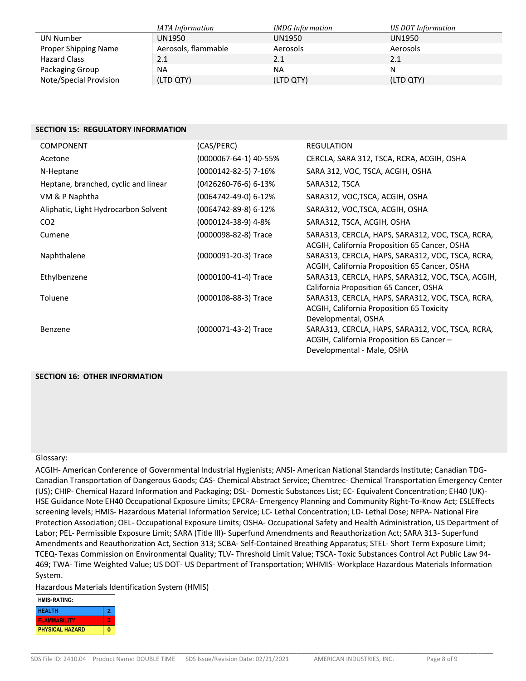|                        | IATA Information    | <b>IMDG</b> Information | US DOT Information |
|------------------------|---------------------|-------------------------|--------------------|
| UN Number              | UN1950              | UN1950                  | UN1950             |
| Proper Shipping Name   | Aerosols, flammable | Aerosols                | Aerosols           |
| <b>Hazard Class</b>    | 2.1                 | 2.1                     | 2.1                |
| Packaging Group        | <b>NA</b>           | <b>NA</b>               |                    |
| Note/Special Provision | (LTD QTY)           | (LTD QTY)               | (LTD QTY)          |

## **SECTION 15: REGULATORY INFORMATION**

| <b>COMPONENT</b>                     | (CAS/PERC)            | <b>REGULATION</b>                                                                                                           |
|--------------------------------------|-----------------------|-----------------------------------------------------------------------------------------------------------------------------|
| Acetone                              | (0000067-64-1) 40-55% | CERCLA, SARA 312, TSCA, RCRA, ACGIH, OSHA                                                                                   |
| N-Heptane                            | (0000142-82-5) 7-16%  | SARA 312, VOC, TSCA, ACGIH, OSHA                                                                                            |
| Heptane, branched, cyclic and linear | (0426260-76-6) 6-13%  | SARA312, TSCA                                                                                                               |
| VM & P Naphtha                       | (0064742-49-0) 6-12%  | SARA312, VOC, TSCA, ACGIH, OSHA                                                                                             |
| Aliphatic, Light Hydrocarbon Solvent | (0064742-89-8) 6-12%  | SARA312, VOC, TSCA, ACGIH, OSHA                                                                                             |
| CO <sub>2</sub>                      | (0000124-38-9) 4-8%   | SARA312, TSCA, ACGIH, OSHA                                                                                                  |
| Cumene                               | (0000098-82-8) Trace  | SARA313, CERCLA, HAPS, SARA312, VOC, TSCA, RCRA,<br>ACGIH, California Proposition 65 Cancer, OSHA                           |
| Naphthalene                          | (0000091-20-3) Trace  | SARA313, CERCLA, HAPS, SARA312, VOC, TSCA, RCRA,<br>ACGIH, California Proposition 65 Cancer, OSHA                           |
| Ethylbenzene                         | (0000100-41-4) Trace  | SARA313, CERCLA, HAPS, SARA312, VOC, TSCA, ACGIH,<br>California Proposition 65 Cancer, OSHA                                 |
| Toluene                              | (0000108-88-3) Trace  | SARA313, CERCLA, HAPS, SARA312, VOC, TSCA, RCRA,<br><b>ACGIH, California Proposition 65 Toxicity</b><br>Developmental, OSHA |
| Benzene                              | (0000071-43-2) Trace  | SARA313, CERCLA, HAPS, SARA312, VOC, TSCA, RCRA,<br>ACGIH, California Proposition 65 Cancer -<br>Developmental - Male, OSHA |

## **SECTION 16: OTHER INFORMATION**

### Glossary:

ACGIH- American Conference of Governmental Industrial Hygienists; ANSI- American National Standards Institute; Canadian TDG-Canadian Transportation of Dangerous Goods; CAS- Chemical Abstract Service; Chemtrec- Chemical Transportation Emergency Center (US); CHIP- Chemical Hazard Information and Packaging; DSL- Domestic Substances List; EC- Equivalent Concentration; EH40 (UK)- HSE Guidance Note EH40 Occupational Exposure Limits; EPCRA- Emergency Planning and Community Right-To-Know Act; ESLEffects screening levels; HMIS- Hazardous Material Information Service; LC- Lethal Concentration; LD- Lethal Dose; NFPA- National Fire Protection Association; OEL- Occupational Exposure Limits; OSHA- Occupational Safety and Health Administration, US Department of Labor; PEL- Permissible Exposure Limit; SARA (Title III)- Superfund Amendments and Reauthorization Act; SARA 313- Superfund Amendments and Reauthorization Act, Section 313; SCBA- Self-Contained Breathing Apparatus; STEL- Short Term Exposure Limit; TCEQ- Texas Commission on Environmental Quality; TLV- Threshold Limit Value; TSCA- Toxic Substances Control Act Public Law 94- 469; TWA- Time Weighted Value; US DOT- US Department of Transportation; WHMIS- Workplace Hazardous Materials Information System.

Hazardous Materials Identification System (HMIS)

| <b>HMIS</b> ®RATING:   |   |
|------------------------|---|
| <b>HFAI TH</b>         | 2 |
| <b>FI AMMARILITY</b>   |   |
| <b>PHYSICAL HAZARD</b> |   |